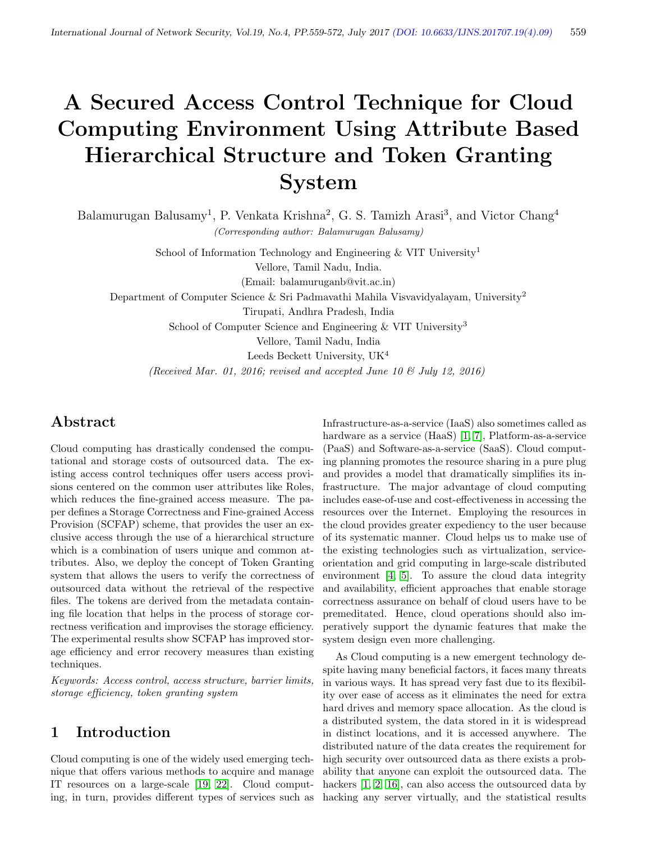# A Secured Access Control Technique for Cloud Computing Environment Using Attribute Based Hierarchical Structure and Token Granting System

Balamurugan Balusamy<sup>1</sup>, P. Venkata Krishna<sup>2</sup>, G. S. Tamizh Arasi<sup>3</sup>, and Victor Chang<sup>4</sup> (Corresponding author: Balamurugan Balusamy)

> School of Information Technology and Engineering  $&$  VIT University<sup>1</sup> Vellore, Tamil Nadu, India. (Email: balamuruganb@vit.ac.in)

Department of Computer Science & Sri Padmavathi Mahila Visvavidyalayam, University<sup>2</sup>

Tirupati, Andhra Pradesh, India

School of Computer Science and Engineering & VIT University<sup>3</sup>

Vellore, Tamil Nadu, India

Leeds Beckett University, UK<sup>4</sup>

(Received Mar. 01, 2016; revised and accepted June 10  $\&$  July 12, 2016)

## Abstract

Cloud computing has drastically condensed the computational and storage costs of outsourced data. The existing access control techniques offer users access provisions centered on the common user attributes like Roles, which reduces the fine-grained access measure. The paper defines a Storage Correctness and Fine-grained Access Provision (SCFAP) scheme, that provides the user an exclusive access through the use of a hierarchical structure which is a combination of users unique and common attributes. Also, we deploy the concept of Token Granting system that allows the users to verify the correctness of outsourced data without the retrieval of the respective files. The tokens are derived from the metadata containing file location that helps in the process of storage correctness verification and improvises the storage efficiency. The experimental results show SCFAP has improved storage efficiency and error recovery measures than existing techniques.

Keywords: Access control, access structure, barrier limits, storage efficiency, token granting system

## 1 Introduction

Cloud computing is one of the widely used emerging technique that offers various methods to acquire and manage IT resources on a large-scale [\[19,](#page-12-0) [22\]](#page-13-0). Cloud computing, in turn, provides different types of services such as

Infrastructure-as-a-service (IaaS) also sometimes called as hardware as a service (HaaS) [\[1,](#page-12-1) [7\]](#page-12-2), Platform-as-a-service (PaaS) and Software-as-a-service (SaaS). Cloud computing planning promotes the resource sharing in a pure plug and provides a model that dramatically simplifies its infrastructure. The major advantage of cloud computing includes ease-of-use and cost-effectiveness in accessing the resources over the Internet. Employing the resources in the cloud provides greater expediency to the user because of its systematic manner. Cloud helps us to make use of the existing technologies such as virtualization, serviceorientation and grid computing in large-scale distributed environment [\[4,](#page-12-3) [5\]](#page-12-4). To assure the cloud data integrity and availability, efficient approaches that enable storage correctness assurance on behalf of cloud users have to be premeditated. Hence, cloud operations should also imperatively support the dynamic features that make the system design even more challenging.

As Cloud computing is a new emergent technology despite having many beneficial factors, it faces many threats in various ways. It has spread very fast due to its flexibility over ease of access as it eliminates the need for extra hard drives and memory space allocation. As the cloud is a distributed system, the data stored in it is widespread in distinct locations, and it is accessed anywhere. The distributed nature of the data creates the requirement for high security over outsourced data as there exists a probability that anyone can exploit the outsourced data. The hackers  $[1, 2, 16]$  $[1, 2, 16]$  $[1, 2, 16]$ , can also access the outsourced data by hacking any server virtually, and the statistical results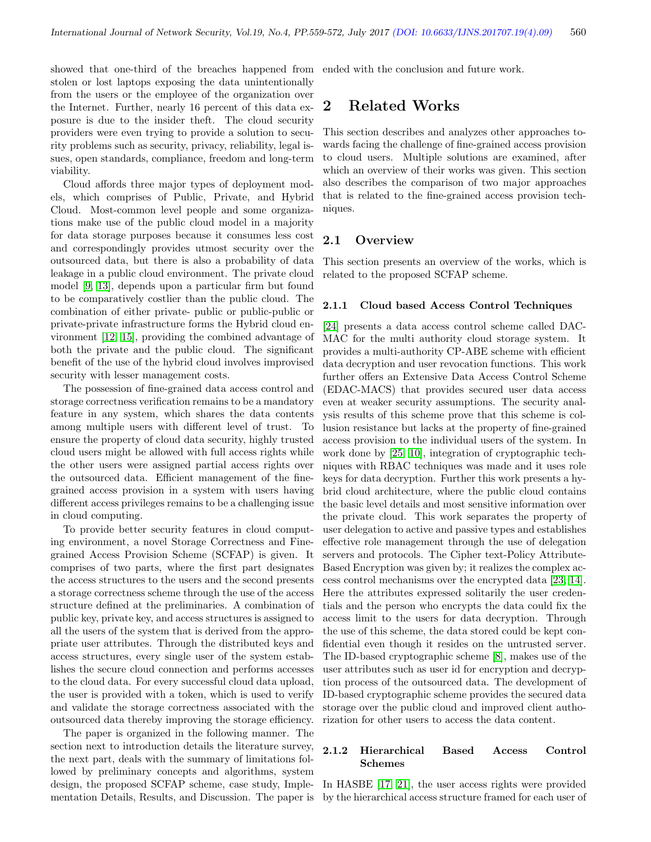showed that one-third of the breaches happened from stolen or lost laptops exposing the data unintentionally from the users or the employee of the organization over the Internet. Further, nearly 16 percent of this data exposure is due to the insider theft. The cloud security providers were even trying to provide a solution to security problems such as security, privacy, reliability, legal issues, open standards, compliance, freedom and long-term viability.

Cloud affords three major types of deployment models, which comprises of Public, Private, and Hybrid Cloud. Most-common level people and some organizations make use of the public cloud model in a majority for data storage purposes because it consumes less cost and correspondingly provides utmost security over the outsourced data, but there is also a probability of data leakage in a public cloud environment. The private cloud model [\[9,](#page-12-7) [13\]](#page-12-8), depends upon a particular firm but found to be comparatively costlier than the public cloud. The combination of either private- public or public-public or private-private infrastructure forms the Hybrid cloud environment [\[12,](#page-12-9) [15\]](#page-12-10), providing the combined advantage of both the private and the public cloud. The significant benefit of the use of the hybrid cloud involves improvised security with lesser management costs.

The possession of fine-grained data access control and storage correctness verification remains to be a mandatory feature in any system, which shares the data contents among multiple users with different level of trust. To ensure the property of cloud data security, highly trusted cloud users might be allowed with full access rights while the other users were assigned partial access rights over the outsourced data. Efficient management of the finegrained access provision in a system with users having different access privileges remains to be a challenging issue in cloud computing.

To provide better security features in cloud computing environment, a novel Storage Correctness and Finegrained Access Provision Scheme (SCFAP) is given. It comprises of two parts, where the first part designates the access structures to the users and the second presents a storage correctness scheme through the use of the access structure defined at the preliminaries. A combination of public key, private key, and access structures is assigned to all the users of the system that is derived from the appropriate user attributes. Through the distributed keys and access structures, every single user of the system establishes the secure cloud connection and performs accesses to the cloud data. For every successful cloud data upload, the user is provided with a token, which is used to verify and validate the storage correctness associated with the outsourced data thereby improving the storage efficiency.

The paper is organized in the following manner. The section next to introduction details the literature survey, the next part, deals with the summary of limitations followed by preliminary concepts and algorithms, system design, the proposed SCFAP scheme, case study, Implementation Details, Results, and Discussion. The paper is

ended with the conclusion and future work.

## 2 Related Works

This section describes and analyzes other approaches towards facing the challenge of fine-grained access provision to cloud users. Multiple solutions are examined, after which an overview of their works was given. This section also describes the comparison of two major approaches that is related to the fine-grained access provision techniques.

### 2.1 Overview

This section presents an overview of the works, which is related to the proposed SCFAP scheme.

#### 2.1.1 Cloud based Access Control Techniques

[\[24\]](#page-13-1) presents a data access control scheme called DAC-MAC for the multi authority cloud storage system. It provides a multi-authority CP-ABE scheme with efficient data decryption and user revocation functions. This work further offers an Extensive Data Access Control Scheme (EDAC-MACS) that provides secured user data access even at weaker security assumptions. The security analysis results of this scheme prove that this scheme is collusion resistance but lacks at the property of fine-grained access provision to the individual users of the system. In work done by [\[25,](#page-13-2) [10\]](#page-12-11), integration of cryptographic techniques with RBAC techniques was made and it uses role keys for data decryption. Further this work presents a hybrid cloud architecture, where the public cloud contains the basic level details and most sensitive information over the private cloud. This work separates the property of user delegation to active and passive types and establishes effective role management through the use of delegation servers and protocols. The Cipher text-Policy Attribute-Based Encryption was given by; it realizes the complex access control mechanisms over the encrypted data [\[23,](#page-13-3) [14\]](#page-12-12). Here the attributes expressed solitarily the user credentials and the person who encrypts the data could fix the access limit to the users for data decryption. Through the use of this scheme, the data stored could be kept confidential even though it resides on the untrusted server. The ID-based cryptographic scheme [\[8\]](#page-12-13), makes use of the user attributes such as user id for encryption and decryption process of the outsourced data. The development of ID-based cryptographic scheme provides the secured data storage over the public cloud and improved client authorization for other users to access the data content.

#### 2.1.2 Hierarchical Based Access Control Schemes

In HASBE [\[17,](#page-12-14) [21\]](#page-12-15), the user access rights were provided by the hierarchical access structure framed for each user of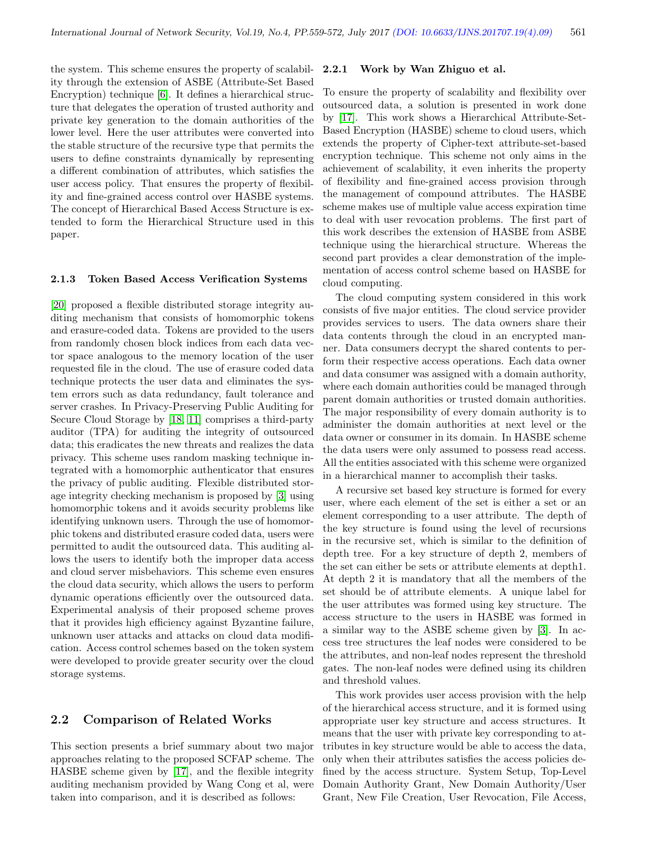the system. This scheme ensures the property of scalability through the extension of ASBE (Attribute-Set Based Encryption) technique [\[6\]](#page-12-16). It defines a hierarchical structure that delegates the operation of trusted authority and private key generation to the domain authorities of the lower level. Here the user attributes were converted into the stable structure of the recursive type that permits the users to define constraints dynamically by representing a different combination of attributes, which satisfies the user access policy. That ensures the property of flexibility and fine-grained access control over HASBE systems. The concept of Hierarchical Based Access Structure is extended to form the Hierarchical Structure used in this paper.

#### 2.1.3 Token Based Access Verification Systems

[\[20\]](#page-12-17) proposed a flexible distributed storage integrity auditing mechanism that consists of homomorphic tokens and erasure-coded data. Tokens are provided to the users from randomly chosen block indices from each data vector space analogous to the memory location of the user requested file in the cloud. The use of erasure coded data technique protects the user data and eliminates the system errors such as data redundancy, fault tolerance and server crashes. In Privacy-Preserving Public Auditing for Secure Cloud Storage by [\[18,](#page-12-18) [11\]](#page-12-19) comprises a third-party auditor (TPA) for auditing the integrity of outsourced data; this eradicates the new threats and realizes the data privacy. This scheme uses random masking technique integrated with a homomorphic authenticator that ensures the privacy of public auditing. Flexible distributed storage integrity checking mechanism is proposed by [\[3\]](#page-12-20) using homomorphic tokens and it avoids security problems like identifying unknown users. Through the use of homomorphic tokens and distributed erasure coded data, users were permitted to audit the outsourced data. This auditing allows the users to identify both the improper data access and cloud server misbehaviors. This scheme even ensures the cloud data security, which allows the users to perform dynamic operations efficiently over the outsourced data. Experimental analysis of their proposed scheme proves that it provides high efficiency against Byzantine failure, unknown user attacks and attacks on cloud data modification. Access control schemes based on the token system were developed to provide greater security over the cloud storage systems.

#### 2.2 Comparison of Related Works

This section presents a brief summary about two major approaches relating to the proposed SCFAP scheme. The HASBE scheme given by [\[17\]](#page-12-14), and the flexible integrity auditing mechanism provided by Wang Cong et al, were taken into comparison, and it is described as follows:

#### 2.2.1 Work by Wan Zhiguo et al.

To ensure the property of scalability and flexibility over outsourced data, a solution is presented in work done by [\[17\]](#page-12-14). This work shows a Hierarchical Attribute-Set-Based Encryption (HASBE) scheme to cloud users, which extends the property of Cipher-text attribute-set-based encryption technique. This scheme not only aims in the achievement of scalability, it even inherits the property of flexibility and fine-grained access provision through the management of compound attributes. The HASBE scheme makes use of multiple value access expiration time to deal with user revocation problems. The first part of this work describes the extension of HASBE from ASBE technique using the hierarchical structure. Whereas the second part provides a clear demonstration of the implementation of access control scheme based on HASBE for cloud computing.

The cloud computing system considered in this work consists of five major entities. The cloud service provider provides services to users. The data owners share their data contents through the cloud in an encrypted manner. Data consumers decrypt the shared contents to perform their respective access operations. Each data owner and data consumer was assigned with a domain authority, where each domain authorities could be managed through parent domain authorities or trusted domain authorities. The major responsibility of every domain authority is to administer the domain authorities at next level or the data owner or consumer in its domain. In HASBE scheme the data users were only assumed to possess read access. All the entities associated with this scheme were organized in a hierarchical manner to accomplish their tasks.

A recursive set based key structure is formed for every user, where each element of the set is either a set or an element corresponding to a user attribute. The depth of the key structure is found using the level of recursions in the recursive set, which is similar to the definition of depth tree. For a key structure of depth 2, members of the set can either be sets or attribute elements at depth1. At depth 2 it is mandatory that all the members of the set should be of attribute elements. A unique label for the user attributes was formed using key structure. The access structure to the users in HASBE was formed in a similar way to the ASBE scheme given by [\[3\]](#page-12-20). In access tree structures the leaf nodes were considered to be the attributes, and non-leaf nodes represent the threshold gates. The non-leaf nodes were defined using its children and threshold values.

This work provides user access provision with the help of the hierarchical access structure, and it is formed using appropriate user key structure and access structures. It means that the user with private key corresponding to attributes in key structure would be able to access the data, only when their attributes satisfies the access policies defined by the access structure. System Setup, Top-Level Domain Authority Grant, New Domain Authority/User Grant, New File Creation, User Revocation, File Access,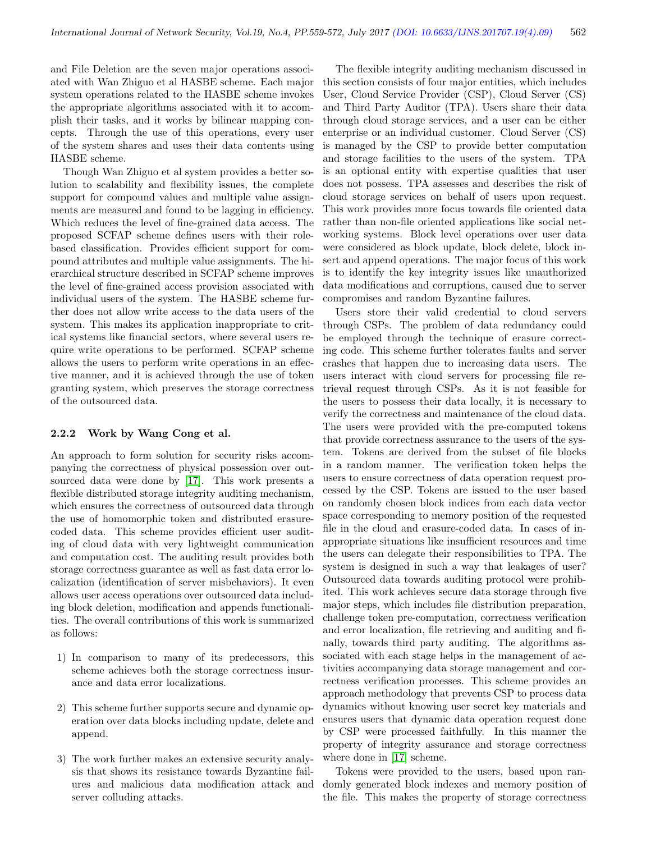and File Deletion are the seven major operations associated with Wan Zhiguo et al HASBE scheme. Each major system operations related to the HASBE scheme invokes the appropriate algorithms associated with it to accomplish their tasks, and it works by bilinear mapping concepts. Through the use of this operations, every user of the system shares and uses their data contents using HASBE scheme.

Though Wan Zhiguo et al system provides a better solution to scalability and flexibility issues, the complete support for compound values and multiple value assignments are measured and found to be lagging in efficiency. Which reduces the level of fine-grained data access. The proposed SCFAP scheme defines users with their rolebased classification. Provides efficient support for compound attributes and multiple value assignments. The hierarchical structure described in SCFAP scheme improves the level of fine-grained access provision associated with individual users of the system. The HASBE scheme further does not allow write access to the data users of the system. This makes its application inappropriate to critical systems like financial sectors, where several users require write operations to be performed. SCFAP scheme allows the users to perform write operations in an effective manner, and it is achieved through the use of token granting system, which preserves the storage correctness of the outsourced data.

#### 2.2.2 Work by Wang Cong et al.

An approach to form solution for security risks accompanying the correctness of physical possession over outsourced data were done by [\[17\]](#page-12-14). This work presents a flexible distributed storage integrity auditing mechanism, which ensures the correctness of outsourced data through the use of homomorphic token and distributed erasurecoded data. This scheme provides efficient user auditing of cloud data with very lightweight communication and computation cost. The auditing result provides both storage correctness guarantee as well as fast data error localization (identification of server misbehaviors). It even allows user access operations over outsourced data including block deletion, modification and appends functionalities. The overall contributions of this work is summarized as follows:

- 1) In comparison to many of its predecessors, this scheme achieves both the storage correctness insurance and data error localizations.
- 2) This scheme further supports secure and dynamic operation over data blocks including update, delete and append.
- 3) The work further makes an extensive security analysis that shows its resistance towards Byzantine failures and malicious data modification attack and server colluding attacks.

The flexible integrity auditing mechanism discussed in this section consists of four major entities, which includes User, Cloud Service Provider (CSP), Cloud Server (CS) and Third Party Auditor (TPA). Users share their data through cloud storage services, and a user can be either enterprise or an individual customer. Cloud Server (CS) is managed by the CSP to provide better computation and storage facilities to the users of the system. TPA is an optional entity with expertise qualities that user does not possess. TPA assesses and describes the risk of cloud storage services on behalf of users upon request. This work provides more focus towards file oriented data rather than non-file oriented applications like social networking systems. Block level operations over user data were considered as block update, block delete, block insert and append operations. The major focus of this work is to identify the key integrity issues like unauthorized data modifications and corruptions, caused due to server compromises and random Byzantine failures.

Users store their valid credential to cloud servers through CSPs. The problem of data redundancy could be employed through the technique of erasure correcting code. This scheme further tolerates faults and server crashes that happen due to increasing data users. The users interact with cloud servers for processing file retrieval request through CSPs. As it is not feasible for the users to possess their data locally, it is necessary to verify the correctness and maintenance of the cloud data. The users were provided with the pre-computed tokens that provide correctness assurance to the users of the system. Tokens are derived from the subset of file blocks in a random manner. The verification token helps the users to ensure correctness of data operation request processed by the CSP. Tokens are issued to the user based on randomly chosen block indices from each data vector space corresponding to memory position of the requested file in the cloud and erasure-coded data. In cases of inappropriate situations like insufficient resources and time the users can delegate their responsibilities to TPA. The system is designed in such a way that leakages of user? Outsourced data towards auditing protocol were prohibited. This work achieves secure data storage through five major steps, which includes file distribution preparation, challenge token pre-computation, correctness verification and error localization, file retrieving and auditing and finally, towards third party auditing. The algorithms associated with each stage helps in the management of activities accompanying data storage management and correctness verification processes. This scheme provides an approach methodology that prevents CSP to process data dynamics without knowing user secret key materials and ensures users that dynamic data operation request done by CSP were processed faithfully. In this manner the property of integrity assurance and storage correctness where done in [\[17\]](#page-12-14) scheme.

Tokens were provided to the users, based upon randomly generated block indexes and memory position of the file. This makes the property of storage correctness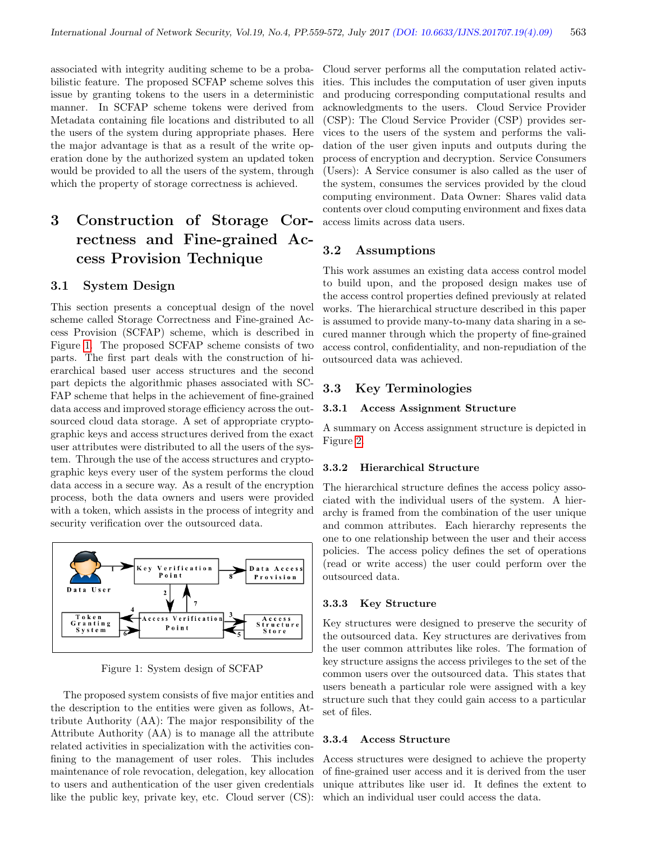associated with integrity auditing scheme to be a probabilistic feature. The proposed SCFAP scheme solves this issue by granting tokens to the users in a deterministic manner. In SCFAP scheme tokens were derived from Metadata containing file locations and distributed to all the users of the system during appropriate phases. Here the major advantage is that as a result of the write operation done by the authorized system an updated token would be provided to all the users of the system, through which the property of storage correctness is achieved.

## 3 Construction of Storage Correctness and Fine-grained Access Provision Technique

#### 3.1 System Design

This section presents a conceptual design of the novel scheme called Storage Correctness and Fine-grained Access Provision (SCFAP) scheme, which is described in Figure [1.](#page-4-0) The proposed SCFAP scheme consists of two parts. The first part deals with the construction of hierarchical based user access structures and the second part depicts the algorithmic phases associated with SC-FAP scheme that helps in the achievement of fine-grained data access and improved storage efficiency across the outsourced cloud data storage. A set of appropriate cryptographic keys and access structures derived from the exact user attributes were distributed to all the users of the system. Through the use of the access structures and cryptographic keys every user of the system performs the cloud data access in a secure way. As a result of the encryption process, both the data owners and users were provided with a token, which assists in the process of integrity and security verification over the outsourced data.



<span id="page-4-0"></span>Figure 1: System design of SCFAP

The proposed system consists of five major entities and the description to the entities were given as follows, Attribute Authority (AA): The major responsibility of the Attribute Authority (AA) is to manage all the attribute related activities in specialization with the activities confining to the management of user roles. This includes maintenance of role revocation, delegation, key allocation to users and authentication of the user given credentials like the public key, private key, etc. Cloud server (CS): Cloud server performs all the computation related activities. This includes the computation of user given inputs and producing corresponding computational results and acknowledgments to the users. Cloud Service Provider (CSP): The Cloud Service Provider (CSP) provides services to the users of the system and performs the validation of the user given inputs and outputs during the process of encryption and decryption. Service Consumers (Users): A Service consumer is also called as the user of the system, consumes the services provided by the cloud computing environment. Data Owner: Shares valid data contents over cloud computing environment and fixes data access limits across data users.

#### 3.2 Assumptions

This work assumes an existing data access control model to build upon, and the proposed design makes use of the access control properties defined previously at related works. The hierarchical structure described in this paper is assumed to provide many-to-many data sharing in a secured manner through which the property of fine-grained access control, confidentiality, and non-repudiation of the outsourced data was achieved.

#### 3.3 Key Terminologies

#### 3.3.1 Access Assignment Structure

A summary on Access assignment structure is depicted in Figure [2.](#page-5-0)

#### 3.3.2 Hierarchical Structure

The hierarchical structure defines the access policy associated with the individual users of the system. A hierarchy is framed from the combination of the user unique and common attributes. Each hierarchy represents the one to one relationship between the user and their access policies. The access policy defines the set of operations (read or write access) the user could perform over the outsourced data.

#### 3.3.3 Key Structure

Key structures were designed to preserve the security of the outsourced data. Key structures are derivatives from the user common attributes like roles. The formation of key structure assigns the access privileges to the set of the common users over the outsourced data. This states that users beneath a particular role were assigned with a key structure such that they could gain access to a particular set of files.

#### 3.3.4 Access Structure

Access structures were designed to achieve the property of fine-grained user access and it is derived from the user unique attributes like user id. It defines the extent to which an individual user could access the data.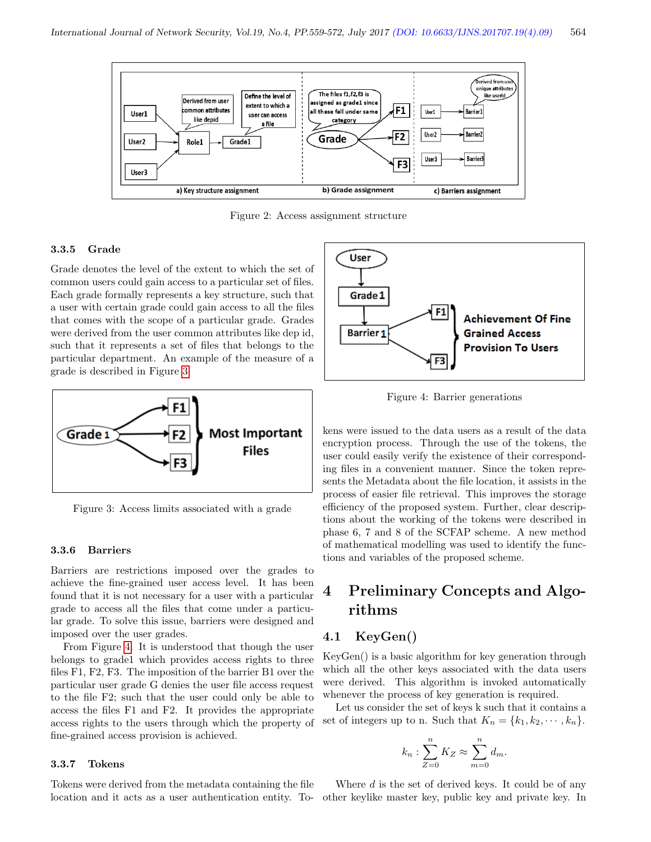

<span id="page-5-0"></span>Figure 2: Access assignment structure

#### 3.3.5 Grade

Grade denotes the level of the extent to which the set of common users could gain access to a particular set of files. Each grade formally represents a key structure, such that a user with certain grade could gain access to all the files that comes with the scope of a particular grade. Grades were derived from the user common attributes like dep id, such that it represents a set of files that belongs to the particular department. An example of the measure of a grade is described in Figure [3.](#page-5-1)



<span id="page-5-1"></span>Figure 3: Access limits associated with a grade

#### 3.3.6 Barriers

Barriers are restrictions imposed over the grades to achieve the fine-grained user access level. It has been found that it is not necessary for a user with a particular grade to access all the files that come under a particular grade. To solve this issue, barriers were designed and imposed over the user grades.

From Figure [4.](#page-5-2) It is understood that though the user belongs to grade1 which provides access rights to three files F1, F2, F3. The imposition of the barrier B1 over the particular user grade G denies the user file access request to the file F2; such that the user could only be able to access the files F1 and F2. It provides the appropriate access rights to the users through which the property of fine-grained access provision is achieved.

#### 3.3.7 Tokens

Tokens were derived from the metadata containing the file



<span id="page-5-2"></span>Figure 4: Barrier generations

kens were issued to the data users as a result of the data encryption process. Through the use of the tokens, the user could easily verify the existence of their corresponding files in a convenient manner. Since the token represents the Metadata about the file location, it assists in the process of easier file retrieval. This improves the storage efficiency of the proposed system. Further, clear descriptions about the working of the tokens were described in phase 6, 7 and 8 of the SCFAP scheme. A new method of mathematical modelling was used to identify the functions and variables of the proposed scheme.

## 4 Preliminary Concepts and Algorithms

#### 4.1 KeyGen()

KeyGen() is a basic algorithm for key generation through which all the other keys associated with the data users were derived. This algorithm is invoked automatically whenever the process of key generation is required.

Let us consider the set of keys k such that it contains a set of integers up to n. Such that  $K_n = \{k_1, k_2, \dots, k_n\}.$ 

$$
k_n: \sum_{Z=0}^n K_Z \approx \sum_{m=0}^n d_m.
$$

location and it acts as a user authentication entity. To-other keylike master key, public key and private key. InWhere  $d$  is the set of derived keys. It could be of any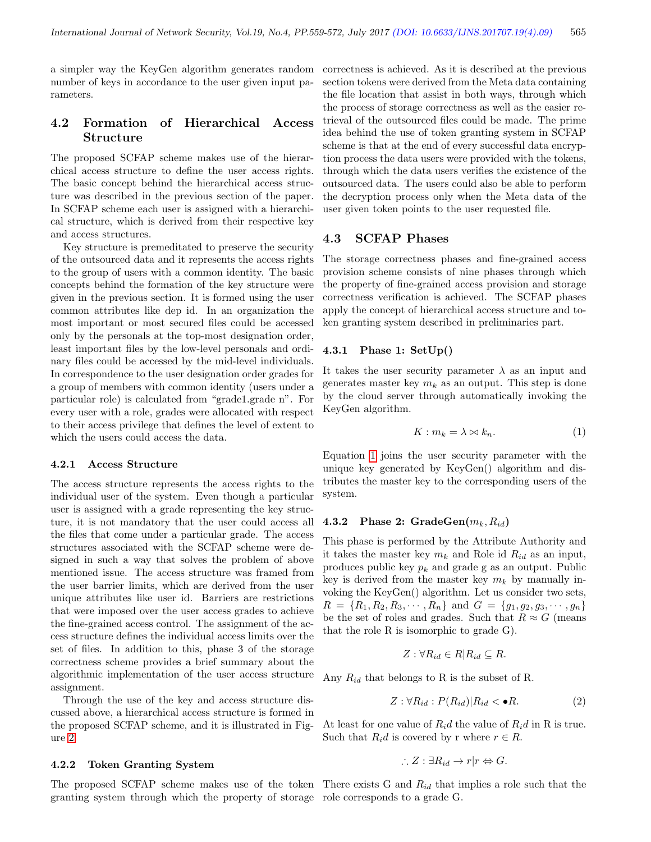a simpler way the KeyGen algorithm generates random number of keys in accordance to the user given input parameters.

### 4.2 Formation of Hierarchical Access Structure

The proposed SCFAP scheme makes use of the hierarchical access structure to define the user access rights. The basic concept behind the hierarchical access structure was described in the previous section of the paper. In SCFAP scheme each user is assigned with a hierarchical structure, which is derived from their respective key and access structures.

Key structure is premeditated to preserve the security of the outsourced data and it represents the access rights to the group of users with a common identity. The basic concepts behind the formation of the key structure were given in the previous section. It is formed using the user common attributes like dep id. In an organization the most important or most secured files could be accessed only by the personals at the top-most designation order, least important files by the low-level personals and ordinary files could be accessed by the mid-level individuals. In correspondence to the user designation order grades for a group of members with common identity (users under a particular role) is calculated from "grade1.grade n". For every user with a role, grades were allocated with respect to their access privilege that defines the level of extent to which the users could access the data.

#### 4.2.1 Access Structure

The access structure represents the access rights to the individual user of the system. Even though a particular user is assigned with a grade representing the key structure, it is not mandatory that the user could access all the files that come under a particular grade. The access structures associated with the SCFAP scheme were designed in such a way that solves the problem of above mentioned issue. The access structure was framed from the user barrier limits, which are derived from the user unique attributes like user id. Barriers are restrictions that were imposed over the user access grades to achieve the fine-grained access control. The assignment of the access structure defines the individual access limits over the set of files. In addition to this, phase 3 of the storage correctness scheme provides a brief summary about the algorithmic implementation of the user access structure assignment.

Through the use of the key and access structure discussed above, a hierarchical access structure is formed in the proposed SCFAP scheme, and it is illustrated in Figure [2.](#page-5-0)

#### 4.2.2 Token Granting System

granting system through which the property of storage role corresponds to a grade G.

correctness is achieved. As it is described at the previous section tokens were derived from the Meta data containing the file location that assist in both ways, through which the process of storage correctness as well as the easier retrieval of the outsourced files could be made. The prime idea behind the use of token granting system in SCFAP scheme is that at the end of every successful data encryption process the data users were provided with the tokens, through which the data users verifies the existence of the outsourced data. The users could also be able to perform the decryption process only when the Meta data of the user given token points to the user requested file.

#### 4.3 SCFAP Phases

The storage correctness phases and fine-grained access provision scheme consists of nine phases through which the property of fine-grained access provision and storage correctness verification is achieved. The SCFAP phases apply the concept of hierarchical access structure and token granting system described in preliminaries part.

#### 4.3.1 Phase 1: SetUp()

It takes the user security parameter  $\lambda$  as an input and generates master key  $m_k$  as an output. This step is done by the cloud server through automatically invoking the KeyGen algorithm.

<span id="page-6-0"></span>
$$
K: m_k = \lambda \bowtie k_n. \tag{1}
$$

Equation [1](#page-6-0) joins the user security parameter with the unique key generated by KeyGen() algorithm and distributes the master key to the corresponding users of the system.

#### 4.3.2 Phase 2:  $GradeGen(m_k, R_{id})$

This phase is performed by the Attribute Authority and it takes the master key  $m_k$  and Role id  $R_{id}$  as an input, produces public key  $p_k$  and grade g as an output. Public key is derived from the master key  $m_k$  by manually invoking the KeyGen() algorithm. Let us consider two sets,  $R = \{R_1, R_2, R_3, \cdots, R_n\}$  and  $G = \{g_1, g_2, g_3, \cdots, g_n\}$ be the set of roles and grades. Such that  $R \approx G$  (means that the role R is isomorphic to grade G).

$$
Z: \forall R_{id} \in R | R_{id} \subseteq R.
$$

Any  $R_{id}$  that belongs to R is the subset of R.

<span id="page-6-1"></span>
$$
Z: \forall R_{id}: P(R_{id}) | R_{id} < \bullet R. \tag{2}
$$

At least for one value of  $R_i d$  the value of  $R_i d$  in R is true. Such that  $R_i d$  is covered by r where  $r \in R$ .

$$
\therefore Z : \exists R_{id} \to r | r \Leftrightarrow G.
$$

The proposed SCFAP scheme makes use of the token There exists G and  $R_{id}$  that implies a role such that the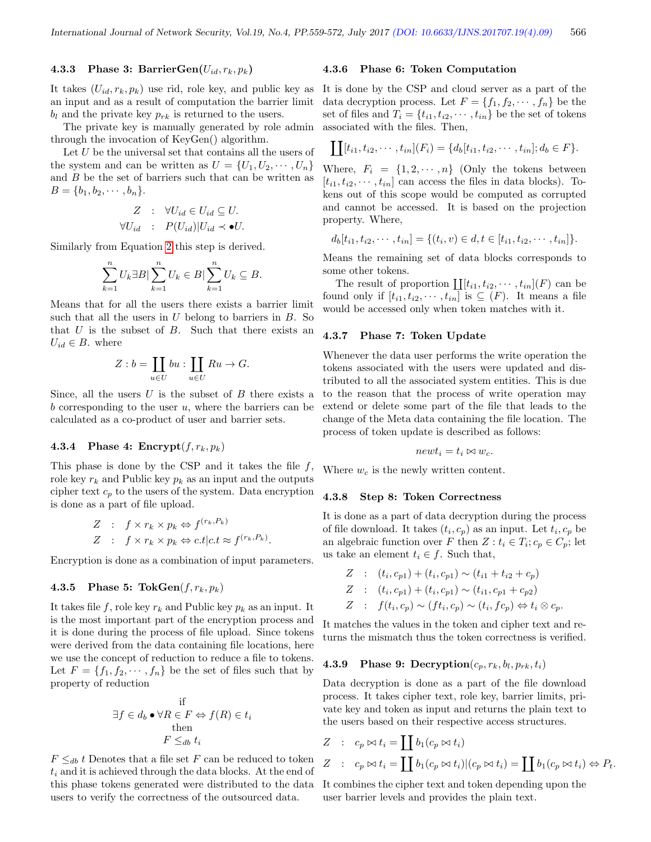#### 4.3.3 Phase 3: BarrierGen $(U_{id}, r_k, p_k)$

It takes  $(U_{id}, r_k, p_k)$  use rid, role key, and public key as an input and as a result of computation the barrier limit  $b_l$  and the private key  $p_{rk}$  is returned to the users.

The private key is manually generated by role admin through the invocation of KeyGen() algorithm.

Let  $U$  be the universal set that contains all the users of the system and can be written as  $U = \{U_1, U_2, \cdots, U_n\}$ and  $B$  be the set of barriers such that can be written as  $B = \{b_1, b_2, \cdots, b_n\}.$ 

$$
Z : \forall U_{id} \in U_{id} \subseteq U.
$$
  

$$
\forall U_{id} : P(U_{id}) | U_{id} \prec \bullet U.
$$

Similarly from Equation [2](#page-6-1) this step is derived.

$$
\sum_{k=1}^{n} U_k \exists B \vert \sum_{k=1}^{n} U_k \in B \vert \sum_{k=1}^{n} U_k \subseteq B.
$$

Means that for all the users there exists a barrier limit such that all the users in  $U$  belong to barriers in  $B$ . So that  $U$  is the subset of  $B$ . Such that there exists an  $U_{id} \in B$ . where

$$
Z : b = \coprod_{u \in U} bu : \coprod_{u \in U} Ru \to G.
$$

Since, all the users  $U$  is the subset of  $B$  there exists a b corresponding to the user  $u$ , where the barriers can be calculated as a co-product of user and barrier sets.

#### 4.3.4 Phase 4: Encrypt $(f, r_k, p_k)$

This phase is done by the CSP and it takes the file  $f$ , role key  $r_k$  and Public key  $p_k$  as an input and the outputs cipher text  $c_p$  to the users of the system. Data encryption is done as a part of file upload.

$$
Z : f \times r_k \times p_k \Leftrightarrow f^{(r_k, P_k)}
$$
  

$$
Z : f \times r_k \times p_k \Leftrightarrow c.t |c.t \approx f^{(r_k, P_k)}.
$$

Encryption is done as a combination of input parameters.

#### 4.3.5 Phase 5: TokGen $(f, r_k, p_k)$

It takes file f, role key  $r_k$  and Public key  $p_k$  as an input. It is the most important part of the encryption process and it is done during the process of file upload. Since tokens were derived from the data containing file locations, here we use the concept of reduction to reduce a file to tokens. Let  $F = \{f_1, f_2, \dots, f_n\}$  be the set of files such that by property of reduction

$$
\exists f \in d_b \bullet \forall R \in F \Leftrightarrow f(R) \in t_i
$$
  
then  

$$
F \leq_{db} t_i
$$

 $F \leq_{db} t$  Denotes that a file set F can be reduced to token  $t_i$  and it is achieved through the data blocks. At the end of this phase tokens generated were distributed to the data users to verify the correctness of the outsourced data.

#### 4.3.6 Phase 6: Token Computation

It is done by the CSP and cloud server as a part of the data decryption process. Let  $F = \{f_1, f_2, \dots, f_n\}$  be the set of files and  $T_i = \{t_{i1}, t_{i2}, \cdots, t_{in}\}\$ be the set of tokens associated with the files. Then,

$$
\coprod [t_{i1}, t_{i2}, \cdots, t_{in}](F_i) = \{d_b[t_{i1}, t_{i2}, \cdots, t_{in}]; d_b \in F\}.
$$

Where,  $F_i = \{1, 2, \dots, n\}$  (Only the tokens between  $[t_{i1}, t_{i2}, \cdots, t_{in}]$  can access the files in data blocks). Tokens out of this scope would be computed as corrupted and cannot be accessed. It is based on the projection property. Where,

$$
d_b[t_{i1}, t_{i2}, \cdots, t_{in}] = \{(t_i, v) \in d, t \in [t_{i1}, t_{i2}, \cdots, t_{in}]\}.
$$

Means the remaining set of data blocks corresponds to some other tokens.

The result of proportion  $\coprod [t_{i1}, t_{i2}, \cdots, t_{in}](F)$  can be found only if  $[t_{i1}, t_{i2}, \cdots, t_{in}]$  is  $\subseteq$   $(F)$ . It means a file would be accessed only when token matches with it.

#### 4.3.7 Phase 7: Token Update

Whenever the data user performs the write operation the tokens associated with the users were updated and distributed to all the associated system entities. This is due to the reason that the process of write operation may extend or delete some part of the file that leads to the change of the Meta data containing the file location. The process of token update is described as follows:

$$
newt_i = t_i \bowtie w_c.
$$

Where  $w_c$  is the newly written content.

#### 4.3.8 Step 8: Token Correctness

It is done as a part of data decryption during the process of file download. It takes  $(t_i, c_p)$  as an input. Let  $t_i, c_p$  be an algebraic function over F then  $Z: t_i \in T_i; c_p \in C_p$ ; let us take an element  $t_i \in f$ . Such that,

$$
Z : (t_i, c_{p1}) + (t_i, c_{p1}) \sim (t_{i1} + t_{i2} + c_p)
$$
  
\n
$$
Z : (t_i, c_{p1}) + (t_i, c_{p1}) \sim (t_{i1}, c_{p1} + c_{p2})
$$
  
\n
$$
Z : f(t_i, c_p) \sim (ft_i, c_p) \sim (t_i, fc_p) \Leftrightarrow t_i \otimes c_p.
$$

It matches the values in the token and cipher text and returns the mismatch thus the token correctness is verified.

#### **4.3.9** Phase 9: Decryption $(c_p, r_k, b_l, p_{rk}, t_i)$

Data decryption is done as a part of the file download process. It takes cipher text, role key, barrier limits, private key and token as input and returns the plain text to the users based on their respective access structures.

$$
Z : c_p \bowtie t_i = \coprod b_1(c_p \bowtie t_i)
$$
  

$$
Z : c_p \bowtie t_i = \coprod b_1(c_p \bowtie t_i) | (c_p \bowtie t_i) = \coprod b_1(c_p \bowtie t_i) \Leftrightarrow P_t.
$$

It combines the cipher text and token depending upon the user barrier levels and provides the plain text.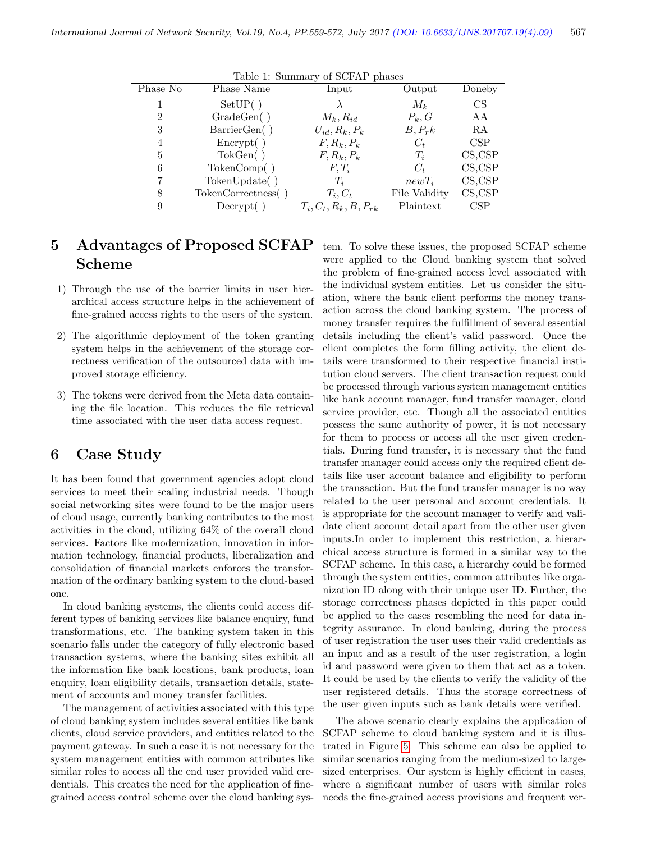| rapic 1. Dummary or DOLITE phases |                      |                            |               |           |
|-----------------------------------|----------------------|----------------------------|---------------|-----------|
| Phase No                          | Phase Name           | Input                      | Output        | Doneby    |
|                                   | SetUP()              |                            |               | <b>CS</b> |
|                                   |                      |                            | $M_{k}$       |           |
| 2                                 | GradeGen()           | $M_k, R_{id}$              | $P_k, G$      | AА        |
| 3                                 | BarrierGen()         | $U_{id}, R_k, P_k$         | $B, P_r k$    | RA        |
| 4                                 | $\text{Energy}()$    | $F, R_k, P_k$              | $C_t$         | CSP       |
| 5                                 | TokGen()             | $F, R_k, P_k$              | $T_i$         | CS, CSP   |
| 6                                 | TokenComp( )         | $F, T_i$                   | $C_t$         | CS, CSP   |
| 7                                 | TokenUpdate()        | $T_i$                      | $newT_i$      | CS, CSP   |
| 8                                 | TokenCorrectness()   | $T_i, C_t$                 | File Validity | CS, CSP   |
| 9                                 | $\text{Decrypt}(\ )$ | $T_i, C_t, R_k, B, P_{rk}$ | Plaintext     | CSP       |
|                                   |                      |                            |               |           |

Table 1: Summary of SCFAP phases

## 5 Advantages of Proposed SCFAP Scheme

- 1) Through the use of the barrier limits in user hierarchical access structure helps in the achievement of fine-grained access rights to the users of the system.
- 2) The algorithmic deployment of the token granting system helps in the achievement of the storage correctness verification of the outsourced data with improved storage efficiency.
- 3) The tokens were derived from the Meta data containing the file location. This reduces the file retrieval time associated with the user data access request.

## 6 Case Study

It has been found that government agencies adopt cloud services to meet their scaling industrial needs. Though social networking sites were found to be the major users of cloud usage, currently banking contributes to the most activities in the cloud, utilizing 64% of the overall cloud services. Factors like modernization, innovation in information technology, financial products, liberalization and consolidation of financial markets enforces the transformation of the ordinary banking system to the cloud-based one.

In cloud banking systems, the clients could access different types of banking services like balance enquiry, fund transformations, etc. The banking system taken in this scenario falls under the category of fully electronic based transaction systems, where the banking sites exhibit all the information like bank locations, bank products, loan enquiry, loan eligibility details, transaction details, statement of accounts and money transfer facilities.

The management of activities associated with this type of cloud banking system includes several entities like bank clients, cloud service providers, and entities related to the payment gateway. In such a case it is not necessary for the system management entities with common attributes like similar roles to access all the end user provided valid credentials. This creates the need for the application of finegrained access control scheme over the cloud banking system. To solve these issues, the proposed SCFAP scheme were applied to the Cloud banking system that solved the problem of fine-grained access level associated with the individual system entities. Let us consider the situation, where the bank client performs the money transaction across the cloud banking system. The process of money transfer requires the fulfillment of several essential details including the client's valid password. Once the client completes the form filling activity, the client details were transformed to their respective financial institution cloud servers. The client transaction request could be processed through various system management entities like bank account manager, fund transfer manager, cloud service provider, etc. Though all the associated entities possess the same authority of power, it is not necessary for them to process or access all the user given credentials. During fund transfer, it is necessary that the fund transfer manager could access only the required client details like user account balance and eligibility to perform the transaction. But the fund transfer manager is no way related to the user personal and account credentials. It is appropriate for the account manager to verify and validate client account detail apart from the other user given inputs.In order to implement this restriction, a hierarchical access structure is formed in a similar way to the SCFAP scheme. In this case, a hierarchy could be formed through the system entities, common attributes like organization ID along with their unique user ID. Further, the storage correctness phases depicted in this paper could be applied to the cases resembling the need for data integrity assurance. In cloud banking, during the process of user registration the user uses their valid credentials as an input and as a result of the user registration, a login id and password were given to them that act as a token. It could be used by the clients to verify the validity of the user registered details. Thus the storage correctness of the user given inputs such as bank details were verified.

The above scenario clearly explains the application of SCFAP scheme to cloud banking system and it is illustrated in Figure [5.](#page-9-0) This scheme can also be applied to similar scenarios ranging from the medium-sized to largesized enterprises. Our system is highly efficient in cases, where a significant number of users with similar roles needs the fine-grained access provisions and frequent ver-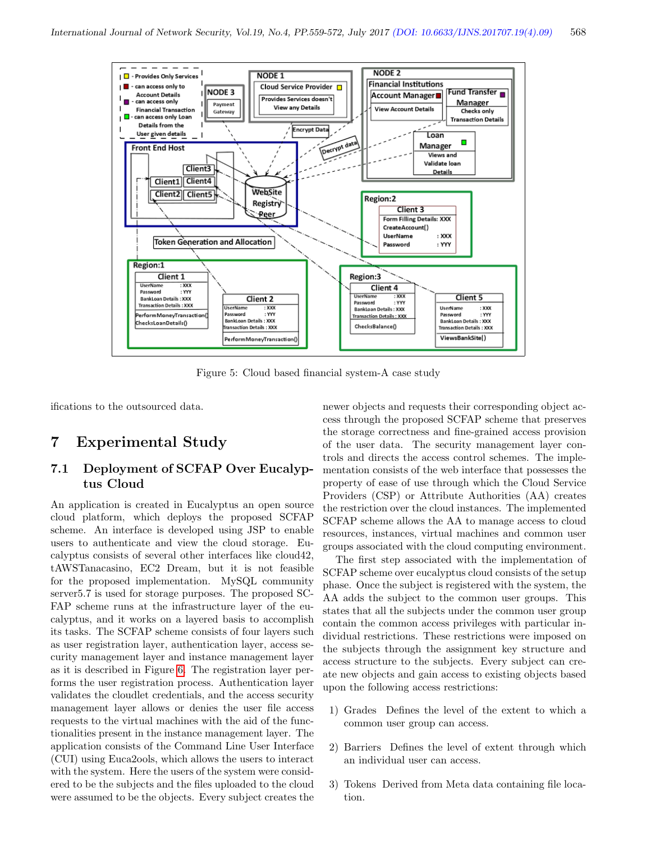

<span id="page-9-0"></span>Figure 5: Cloud based financial system-A case study

ifications to the outsourced data.

## 7 Experimental Study

### 7.1 Deployment of SCFAP Over Eucalyptus Cloud

An application is created in Eucalyptus an open source cloud platform, which deploys the proposed SCFAP scheme. An interface is developed using JSP to enable users to authenticate and view the cloud storage. Eucalyptus consists of several other interfaces like cloud42, tAWSTanacasino, EC2 Dream, but it is not feasible for the proposed implementation. MySQL community server5.7 is used for storage purposes. The proposed SC-FAP scheme runs at the infrastructure layer of the eucalyptus, and it works on a layered basis to accomplish its tasks. The SCFAP scheme consists of four layers such as user registration layer, authentication layer, access security management layer and instance management layer as it is described in Figure [6.](#page-10-0) The registration layer performs the user registration process. Authentication layer validates the cloudlet credentials, and the access security management layer allows or denies the user file access requests to the virtual machines with the aid of the functionalities present in the instance management layer. The application consists of the Command Line User Interface (CUI) using Euca2ools, which allows the users to interact with the system. Here the users of the system were considered to be the subjects and the files uploaded to the cloud were assumed to be the objects. Every subject creates the

newer objects and requests their corresponding object access through the proposed SCFAP scheme that preserves the storage correctness and fine-grained access provision of the user data. The security management layer controls and directs the access control schemes. The implementation consists of the web interface that possesses the property of ease of use through which the Cloud Service Providers (CSP) or Attribute Authorities (AA) creates the restriction over the cloud instances. The implemented SCFAP scheme allows the AA to manage access to cloud resources, instances, virtual machines and common user groups associated with the cloud computing environment.

The first step associated with the implementation of SCFAP scheme over eucalyptus cloud consists of the setup phase. Once the subject is registered with the system, the AA adds the subject to the common user groups. This states that all the subjects under the common user group contain the common access privileges with particular individual restrictions. These restrictions were imposed on the subjects through the assignment key structure and access structure to the subjects. Every subject can create new objects and gain access to existing objects based upon the following access restrictions:

- 1) Grades Defines the level of the extent to which a common user group can access.
- 2) Barriers Defines the level of extent through which an individual user can access.
- 3) Tokens Derived from Meta data containing file location.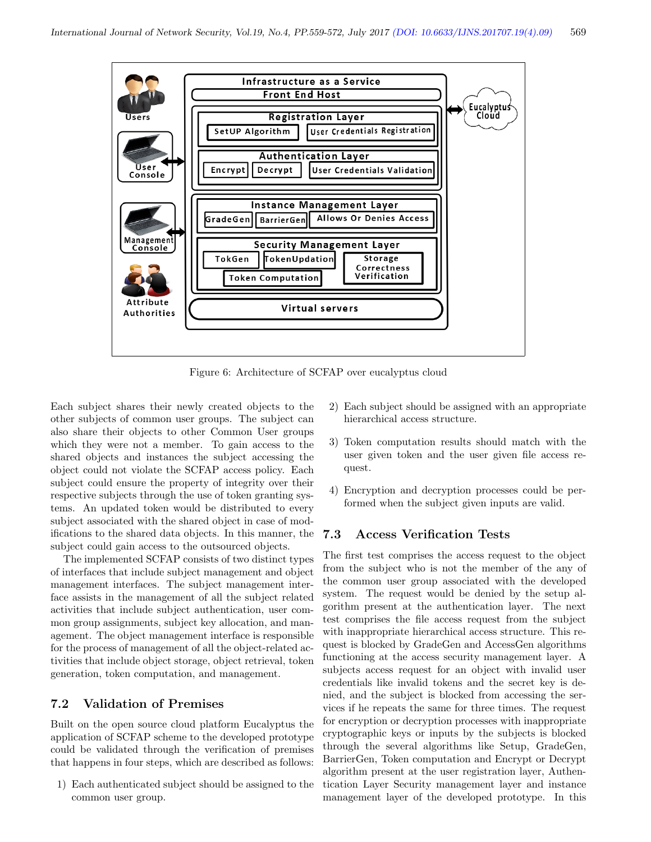

<span id="page-10-0"></span>Figure 6: Architecture of SCFAP over eucalyptus cloud

Each subject shares their newly created objects to the other subjects of common user groups. The subject can also share their objects to other Common User groups which they were not a member. To gain access to the shared objects and instances the subject accessing the object could not violate the SCFAP access policy. Each subject could ensure the property of integrity over their respective subjects through the use of token granting systems. An updated token would be distributed to every subject associated with the shared object in case of modifications to the shared data objects. In this manner, the subject could gain access to the outsourced objects.

The implemented SCFAP consists of two distinct types of interfaces that include subject management and object management interfaces. The subject management interface assists in the management of all the subject related activities that include subject authentication, user common group assignments, subject key allocation, and management. The object management interface is responsible for the process of management of all the object-related activities that include object storage, object retrieval, token generation, token computation, and management.

### 7.2 Validation of Premises

Built on the open source cloud platform Eucalyptus the application of SCFAP scheme to the developed prototype could be validated through the verification of premises that happens in four steps, which are described as follows:

1) Each authenticated subject should be assigned to the common user group.

- 2) Each subject should be assigned with an appropriate hierarchical access structure.
- 3) Token computation results should match with the user given token and the user given file access request.
- 4) Encryption and decryption processes could be performed when the subject given inputs are valid.

#### 7.3 Access Verification Tests

The first test comprises the access request to the object from the subject who is not the member of the any of the common user group associated with the developed system. The request would be denied by the setup algorithm present at the authentication layer. The next test comprises the file access request from the subject with inappropriate hierarchical access structure. This request is blocked by GradeGen and AccessGen algorithms functioning at the access security management layer. A subjects access request for an object with invalid user credentials like invalid tokens and the secret key is denied, and the subject is blocked from accessing the services if he repeats the same for three times. The request for encryption or decryption processes with inappropriate cryptographic keys or inputs by the subjects is blocked through the several algorithms like Setup, GradeGen, BarrierGen, Token computation and Encrypt or Decrypt algorithm present at the user registration layer, Authentication Layer Security management layer and instance management layer of the developed prototype. In this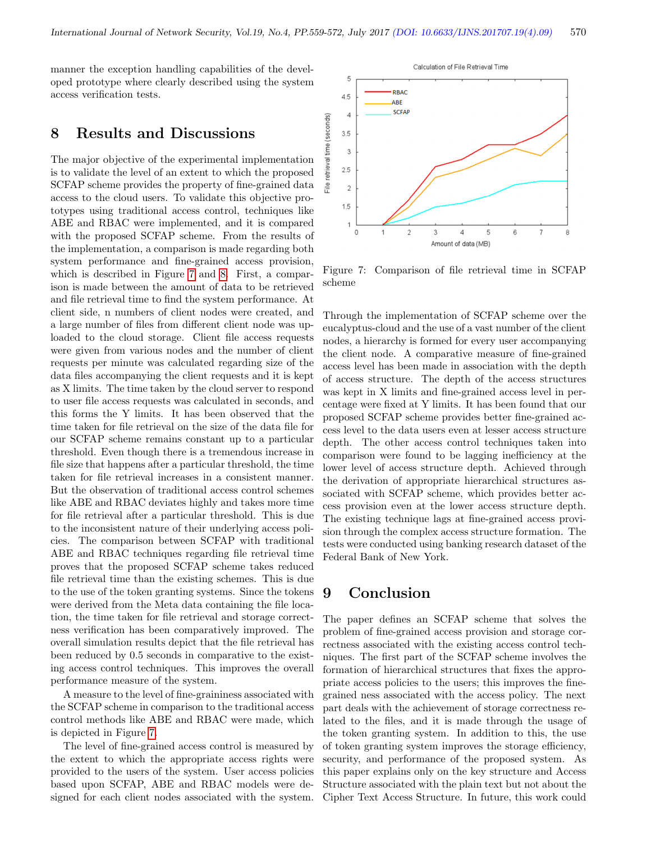manner the exception handling capabilities of the developed prototype where clearly described using the system access verification tests.

### 8 Results and Discussions

The major objective of the experimental implementation is to validate the level of an extent to which the proposed SCFAP scheme provides the property of fine-grained data access to the cloud users. To validate this objective prototypes using traditional access control, techniques like ABE and RBAC were implemented, and it is compared with the proposed SCFAP scheme. From the results of the implementation, a comparison is made regarding both system performance and fine-grained access provision, which is described in Figure [7](#page-11-0) and [8.](#page-12-21) First, a comparison is made between the amount of data to be retrieved and file retrieval time to find the system performance. At client side, n numbers of client nodes were created, and a large number of files from different client node was uploaded to the cloud storage. Client file access requests were given from various nodes and the number of client requests per minute was calculated regarding size of the data files accompanying the client requests and it is kept as X limits. The time taken by the cloud server to respond to user file access requests was calculated in seconds, and this forms the Y limits. It has been observed that the time taken for file retrieval on the size of the data file for our SCFAP scheme remains constant up to a particular threshold. Even though there is a tremendous increase in file size that happens after a particular threshold, the time taken for file retrieval increases in a consistent manner. But the observation of traditional access control schemes like ABE and RBAC deviates highly and takes more time for file retrieval after a particular threshold. This is due to the inconsistent nature of their underlying access policies. The comparison between SCFAP with traditional ABE and RBAC techniques regarding file retrieval time proves that the proposed SCFAP scheme takes reduced file retrieval time than the existing schemes. This is due to the use of the token granting systems. Since the tokens were derived from the Meta data containing the file location, the time taken for file retrieval and storage correctness verification has been comparatively improved. The overall simulation results depict that the file retrieval has been reduced by 0.5 seconds in comparative to the existing access control techniques. This improves the overall performance measure of the system.

A measure to the level of fine-graininess associated with the SCFAP scheme in comparison to the traditional access control methods like ABE and RBAC were made, which is depicted in Figure [7.](#page-11-0)

The level of fine-grained access control is measured by the extent to which the appropriate access rights were provided to the users of the system. User access policies based upon SCFAP, ABE and RBAC models were designed for each client nodes associated with the system.



<span id="page-11-0"></span>Figure 7: Comparison of file retrieval time in SCFAP scheme

Through the implementation of SCFAP scheme over the eucalyptus-cloud and the use of a vast number of the client nodes, a hierarchy is formed for every user accompanying the client node. A comparative measure of fine-grained access level has been made in association with the depth of access structure. The depth of the access structures was kept in X limits and fine-grained access level in percentage were fixed at Y limits. It has been found that our proposed SCFAP scheme provides better fine-grained access level to the data users even at lesser access structure depth. The other access control techniques taken into comparison were found to be lagging inefficiency at the lower level of access structure depth. Achieved through the derivation of appropriate hierarchical structures associated with SCFAP scheme, which provides better access provision even at the lower access structure depth. The existing technique lags at fine-grained access provision through the complex access structure formation. The tests were conducted using banking research dataset of the Federal Bank of New York.

## 9 Conclusion

The paper defines an SCFAP scheme that solves the problem of fine-grained access provision and storage correctness associated with the existing access control techniques. The first part of the SCFAP scheme involves the formation of hierarchical structures that fixes the appropriate access policies to the users; this improves the finegrained ness associated with the access policy. The next part deals with the achievement of storage correctness related to the files, and it is made through the usage of the token granting system. In addition to this, the use of token granting system improves the storage efficiency, security, and performance of the proposed system. As this paper explains only on the key structure and Access Structure associated with the plain text but not about the Cipher Text Access Structure. In future, this work could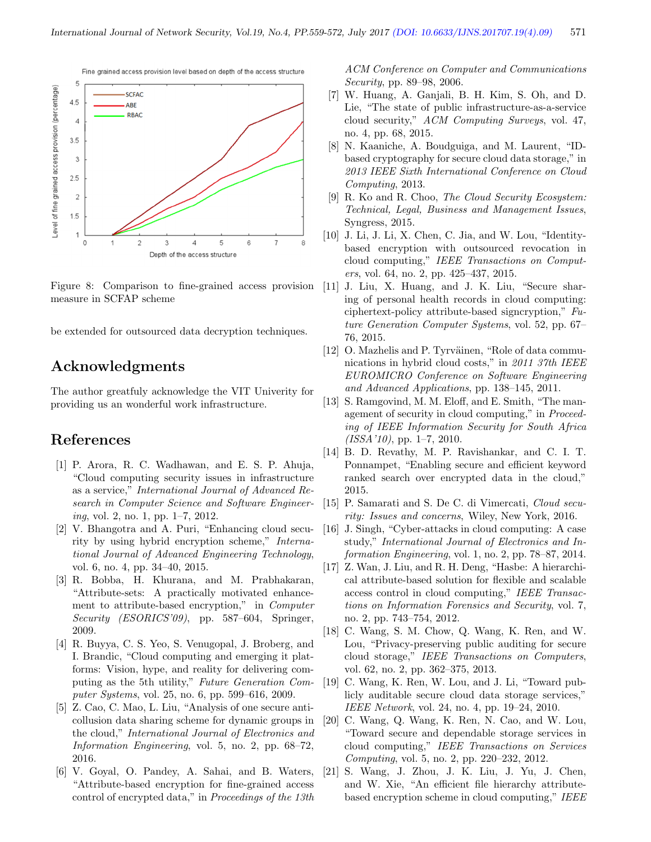

<span id="page-12-21"></span>Figure 8: Comparison to fine-grained access provision measure in SCFAP scheme

be extended for outsourced data decryption techniques.

## Acknowledgments

The author greatfuly acknowledge the VIT Univerity for providing us an wonderful work infrastructure.

## References

- <span id="page-12-1"></span>[1] P. Arora, R. C. Wadhawan, and E. S. P. Ahuja, "Cloud computing security issues in infrastructure as a service," International Journal of Advanced Research in Computer Science and Software Engineering, vol. 2, no. 1, pp. 1–7, 2012.
- <span id="page-12-5"></span>[2] V. Bhangotra and A. Puri, "Enhancing cloud security by using hybrid encryption scheme," International Journal of Advanced Engineering Technology, vol. 6, no. 4, pp. 34–40, 2015.
- <span id="page-12-20"></span>[3] R. Bobba, H. Khurana, and M. Prabhakaran, "Attribute-sets: A practically motivated enhancement to attribute-based encryption," in Computer Security (ESORICS'09), pp. 587–604, Springer, 2009.
- <span id="page-12-3"></span>[4] R. Buyya, C. S. Yeo, S. Venugopal, J. Broberg, and I. Brandic, "Cloud computing and emerging it platforms: Vision, hype, and reality for delivering computing as the 5th utility," Future Generation Computer Systems, vol. 25, no. 6, pp. 599–616, 2009.
- <span id="page-12-4"></span>[5] Z. Cao, C. Mao, L. Liu, "Analysis of one secure anticollusion data sharing scheme for dynamic groups in the cloud," International Journal of Electronics and Information Engineering, vol. 5, no. 2, pp. 68–72, 2016.
- <span id="page-12-16"></span>[6] V. Goyal, O. Pandey, A. Sahai, and B. Waters, "Attribute-based encryption for fine-grained access control of encrypted data," in Proceedings of the 13th

ACM Conference on Computer and Communications Security, pp. 89–98, 2006.

- <span id="page-12-2"></span>[7] W. Huang, A. Ganjali, B. H. Kim, S. Oh, and D. Lie, "The state of public infrastructure-as-a-service cloud security," ACM Computing Surveys, vol. 47, no. 4, pp. 68, 2015.
- <span id="page-12-13"></span>[8] N. Kaaniche, A. Boudguiga, and M. Laurent, "IDbased cryptography for secure cloud data storage," in 2013 IEEE Sixth International Conference on Cloud Computing, 2013.
- <span id="page-12-7"></span>[9] R. Ko and R. Choo, *The Cloud Security Ecosystem:* Technical, Legal, Business and Management Issues, Syngress, 2015.
- <span id="page-12-11"></span>[10] J. Li, J. Li, X. Chen, C. Jia, and W. Lou, "Identitybased encryption with outsourced revocation in cloud computing," IEEE Transactions on Computers, vol. 64, no. 2, pp. 425–437, 2015.
- <span id="page-12-19"></span>[11] J. Liu, X. Huang, and J. K. Liu, "Secure sharing of personal health records in cloud computing: ciphertext-policy attribute-based signcryption," Future Generation Computer Systems, vol. 52, pp. 67– 76, 2015.
- <span id="page-12-9"></span>[12] O. Mazhelis and P. Tyrväinen, "Role of data communications in hybrid cloud costs," in 2011 37th IEEE EUROMICRO Conference on Software Engineering and Advanced Applications, pp. 138–145, 2011.
- <span id="page-12-8"></span>[13] S. Ramgovind, M. M. Eloff, and E. Smith, "The management of security in cloud computing," in Proceeding of IEEE Information Security for South Africa  $(ISSA'10)$ , pp. 1-7, 2010.
- <span id="page-12-12"></span>[14] B. D. Revathy, M. P. Ravishankar, and C. I. T. Ponnampet, "Enabling secure and efficient keyword ranked search over encrypted data in the cloud," 2015.
- <span id="page-12-10"></span>[15] P. Samarati and S. De C. di Vimercati, Cloud security: Issues and concerns, Wiley, New York, 2016.
- <span id="page-12-6"></span>[16] J. Singh, "Cyber-attacks in cloud computing: A case study," International Journal of Electronics and Information Engineering, vol. 1, no. 2, pp. 78–87, 2014.
- <span id="page-12-14"></span>[17] Z. Wan, J. Liu, and R. H. Deng, "Hasbe: A hierarchical attribute-based solution for flexible and scalable access control in cloud computing," IEEE Transactions on Information Forensics and Security, vol. 7, no. 2, pp. 743–754, 2012.
- <span id="page-12-18"></span>[18] C. Wang, S. M. Chow, Q. Wang, K. Ren, and W. Lou, "Privacy-preserving public auditing for secure cloud storage," IEEE Transactions on Computers, vol. 62, no. 2, pp. 362–375, 2013.
- <span id="page-12-0"></span>[19] C. Wang, K. Ren, W. Lou, and J. Li, "Toward publicly auditable secure cloud data storage services," IEEE Network, vol. 24, no. 4, pp. 19–24, 2010.
- <span id="page-12-17"></span>[20] C. Wang, Q. Wang, K. Ren, N. Cao, and W. Lou, "Toward secure and dependable storage services in cloud computing," IEEE Transactions on Services Computing, vol. 5, no. 2, pp. 220–232, 2012.
- <span id="page-12-15"></span>[21] S. Wang, J. Zhou, J. K. Liu, J. Yu, J. Chen, and W. Xie, "An efficient file hierarchy attributebased encryption scheme in cloud computing," IEEE